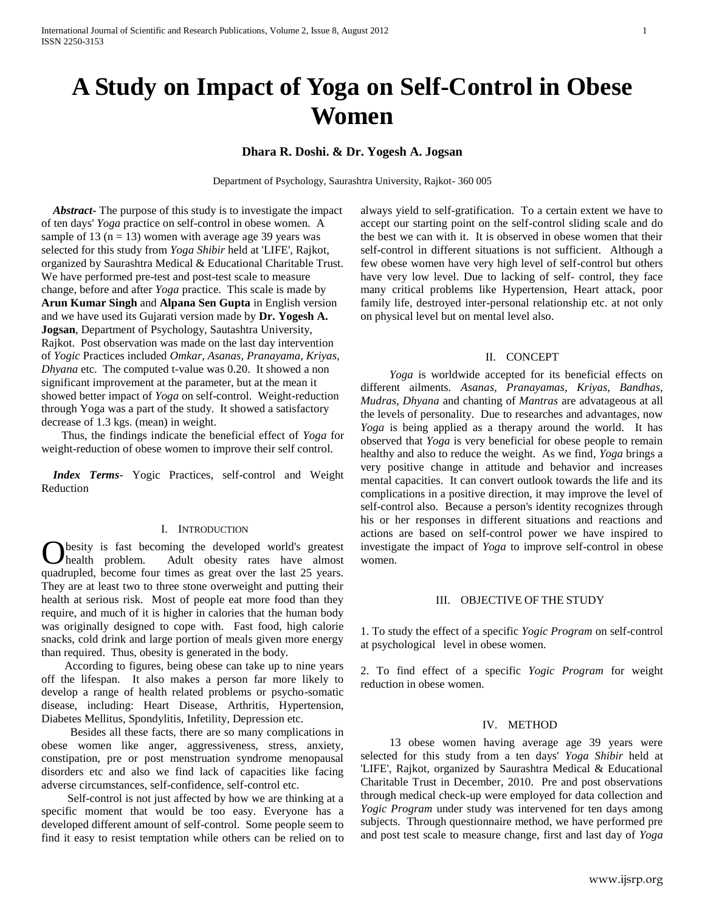# **A Study on Impact of Yoga on Self-Control in Obese Women**

# **Dhara R. Doshi. & Dr. Yogesh A. Jogsan**

Department of Psychology, Saurashtra University, Rajkot- 360 005

 *Abstract***-** The purpose of this study is to investigate the impact of ten days' *Yoga* practice on self-control in obese women. A sample of 13 ( $n = 13$ ) women with average age 39 years was selected for this study from *Yoga Shibir* held at 'LIFE', Rajkot, organized by Saurashtra Medical & Educational Charitable Trust. We have performed pre-test and post-test scale to measure change, before and after *Yoga* practice. This scale is made by **Arun Kumar Singh** and **Alpana Sen Gupta** in English version and we have used its Gujarati version made by **Dr. Yogesh A. Jogsan**, Department of Psychology, Sautashtra University, Rajkot. Post observation was made on the last day intervention of *Yogic* Practices included *Omkar, Asanas, Pranayama, Kriyas, Dhyana* etc. The computed t-value was 0.20. It showed a non significant improvement at the parameter, but at the mean it showed better impact of *Yoga* on self-control. Weight-reduction through Yoga was a part of the study. It showed a satisfactory decrease of 1.3 kgs. (mean) in weight.

 Thus, the findings indicate the beneficial effect of *Yoga* for weight-reduction of obese women to improve their self control.

 *Index Terms*- Yogic Practices, self-control and Weight Reduction

### I. INTRODUCTION

besity is fast becoming the developed world's greatest health problem. Adult obesity rates have almost quadrupled, become four times as great over the last 25 years. They are at least two to three stone overweight and putting their health at serious risk. Most of people eat more food than they require, and much of it is higher in calories that the human body was originally designed to cope with. Fast food, high calorie snacks, cold drink and large portion of meals given more energy than required. Thus, obesity is generated in the body. O

 According to figures, being obese can take up to nine years off the lifespan. It also makes a person far more likely to develop a range of health related problems or psycho-somatic disease, including: Heart Disease, Arthritis, Hypertension, Diabetes Mellitus, Spondylitis, Infetility, Depression etc.

 Besides all these facts, there are so many complications in obese women like anger, aggressiveness, stress, anxiety, constipation, pre or post menstruation syndrome menopausal disorders etc and also we find lack of capacities like facing adverse circumstances, self-confidence, self-control etc.

 Self-control is not just affected by how we are thinking at a specific moment that would be too easy. Everyone has a developed different amount of self-control. Some people seem to find it easy to resist temptation while others can be relied on to always yield to self-gratification. To a certain extent we have to accept our starting point on the self-control sliding scale and do the best we can with it. It is observed in obese women that their self-control in different situations is not sufficient. Although a few obese women have very high level of self-control but others have very low level. Due to lacking of self- control, they face many critical problems like Hypertension, Heart attack, poor family life, destroyed inter-personal relationship etc. at not only on physical level but on mental level also.

## II. CONCEPT

 *Yoga* is worldwide accepted for its beneficial effects on different ailments. *Asanas, Pranayamas, Kriyas, Bandhas, Mudras, Dhyana* and chanting of *Mantras* are advatageous at all the levels of personality. Due to researches and advantages, now *Yoga* is being applied as a therapy around the world. It has observed that *Yoga* is very beneficial for obese people to remain healthy and also to reduce the weight. As we find, *Yoga* brings a very positive change in attitude and behavior and increases mental capacities. It can convert outlook towards the life and its complications in a positive direction, it may improve the level of self-control also. Because a person's identity recognizes through his or her responses in different situations and reactions and actions are based on self-control power we have inspired to investigate the impact of *Yoga* to improve self-control in obese women.

### III. OBJECTIVE OF THE STUDY

1. To study the effect of a specific *Yogic Program* on self-control at psychological level in obese women.

2. To find effect of a specific *Yogic Program* for weight reduction in obese women.

#### IV. METHOD

 13 obese women having average age 39 years were selected for this study from a ten days' *Yoga Shibir* held at 'LIFE', Rajkot, organized by Saurashtra Medical & Educational Charitable Trust in December, 2010. Pre and post observations through medical check-up were employed for data collection and *Yogic Program* under study was intervened for ten days among subjects. Through questionnaire method, we have performed pre and post test scale to measure change, first and last day of *Yoga*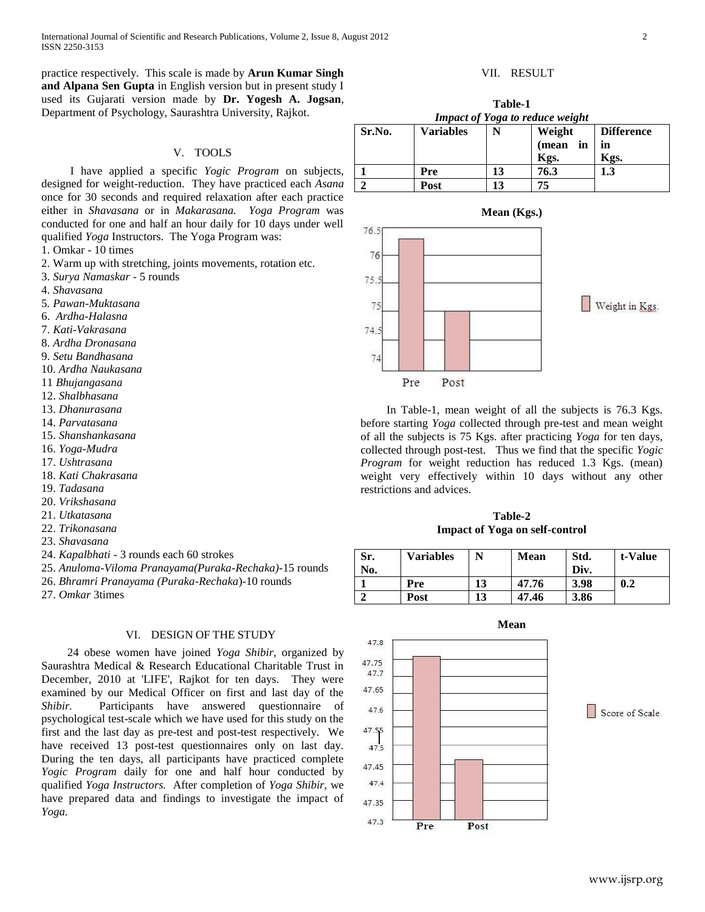practice respectively. This scale is made by **Arun Kumar Singh and Alpana Sen Gupta** in English version but in present study I used its Gujarati version made by **Dr. Yogesh A. Jogsan**, Department of Psychology, Saurashtra University, Rajkot.

# V. TOOLS

 I have applied a specific *Yogic Program* on subjects, designed for weight-reduction. They have practiced each *Asana* once for 30 seconds and required relaxation after each practice either in *Shavasana* or in *Makarasana. Yoga Program* was conducted for one and half an hour daily for 10 days under well qualified *Yoga* Instructors. The Yoga Program was:

1. Omkar - 10 times

2. Warm up with stretching, joints movements, rotation etc.

- 3. *Surya Namaskar* 5 rounds
- 4. *Shavasana*
- 5*. Pawan-Muktasana*
- 6. *Ardha-Halasna*
- 7. *Kati-Vakrasana*
- 8. *Ardha Dronasana*
- 9. *Setu Bandhasana*
- 10. *Ardha Naukasana*
- 11 *Bhujangasana*
- 12. *Shalbhasana*
- 13. *Dhanurasana*
- 14. *Parvatasana*
- 15. *Shanshankasana*
- 16. *Yoga-Mudra*
- 17. *Ushtrasana*
- 18. *Kati Chakrasana*
- 19. *Tadasana*
- 20. *Vrikshasana*
- 21. *Utkatasana*
- 22. *Trikonasana*
- 23. *Shavasana*
- 24. *Kapalbhati*  3 rounds each 60 strokes
- 25. *Anuloma-Viloma Pranayama(Puraka-Rechaka)-*15 rounds
- 26. *Bhramri Pranayama (Puraka-Rechaka*)-10 rounds
- 27. *Omkar* 3times

## VI. DESIGN OF THE STUDY

 24 obese women have joined *Yoga Shibir,* organized by Saurashtra Medical & Research Educational Charitable Trust in December, 2010 at 'LIFE', Rajkot for ten days. They were examined by our Medical Officer on first and last day of the *Shibir.* Participants have answered questionnaire of psychological test-scale which we have used for this study on the first and the last day as pre-test and post-test respectively. We have received 13 post-test questionnaires only on last day. During the ten days, all participants have practiced complete *Yogic Program* daily for one and half hour conducted by qualified *Yoga Instructors.* After completion of *Yoga Shibir,* we have prepared data and findings to investigate the impact of *Yoga.*

## VII. RESULT



 In Table-1, mean weight of all the subjects is 76.3 Kgs. before starting *Yoga* collected through pre-test and mean weight of all the subjects is 75 Kgs. after practicing *Yoga* for ten days, collected through post-test. Thus we find that the specific *Yogic Program* for weight reduction has reduced 1.3 Kgs. (mean) weight very effectively within 10 days without any other restrictions and advices.

Pre

Post

## **Table-2 Impact of Yoga on self-control**

| Sr. | <b>Variables</b> | N  | <b>Mean</b> | Std. | t-Value |
|-----|------------------|----|-------------|------|---------|
| No. |                  |    |             | Div. |         |
|     | Pre              | 13 | 47.76       | 3.98 | 0.2     |
|     | Post             | 13 | 47.46       | 3.86 |         |



www.ijsrp.org